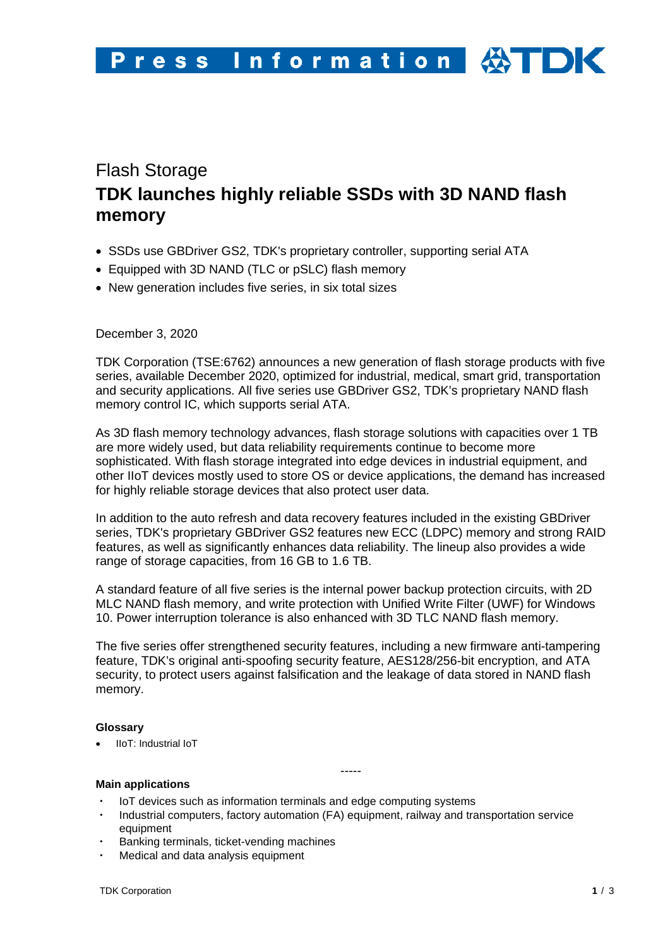# Flash Storage **TDK launches highly reliable SSDs with 3D NAND flash memory**

- SSDs use GBDriver GS2, TDK's proprietary controller, supporting serial ATA
- Equipped with 3D NAND (TLC or pSLC) flash memory
- New generation includes five series, in six total sizes

## December 3, 2020

TDK Corporation (TSE:6762) announces a new generation of flash storage products with five series, available December 2020, optimized for industrial, medical, smart grid, transportation and security applications. All five series use GBDriver GS2, TDK's proprietary NAND flash memory control IC, which supports serial ATA.

As 3D flash memory technology advances, flash storage solutions with capacities over 1 TB are more widely used, but data reliability requirements continue to become more sophisticated. With flash storage integrated into edge devices in industrial equipment, and other IIoT devices mostly used to store OS or device applications, the demand has increased for highly reliable storage devices that also protect user data.

In addition to the auto refresh and data recovery features included in the existing GBDriver series, TDK's proprietary GBDriver GS2 features new ECC (LDPC) memory and strong RAID features, as well as significantly enhances data reliability. The lineup also provides a wide range of storage capacities, from 16 GB to 1.6 TB.

A standard feature of all five series is the internal power backup protection circuits, with 2D MLC NAND flash memory, and write protection with Unified Write Filter (UWF) for Windows 10. Power interruption tolerance is also enhanced with 3D TLC NAND flash memory.

The five series offer strengthened security features, including a new firmware anti-tampering feature, TDK's original anti-spoofing security feature, AES128/256-bit encryption, and ATA security, to protect users against falsification and the leakage of data stored in NAND flash memory.

-----

## **Glossary**

• IIoT: Industrial IoT

## **Main applications**

- IoT devices such as information terminals and edge computing systems
- Industrial computers, factory automation (FA) equipment, railway and transportation service equipment
- Banking terminals, ticket-vending machines
- Medical and data analysis equipment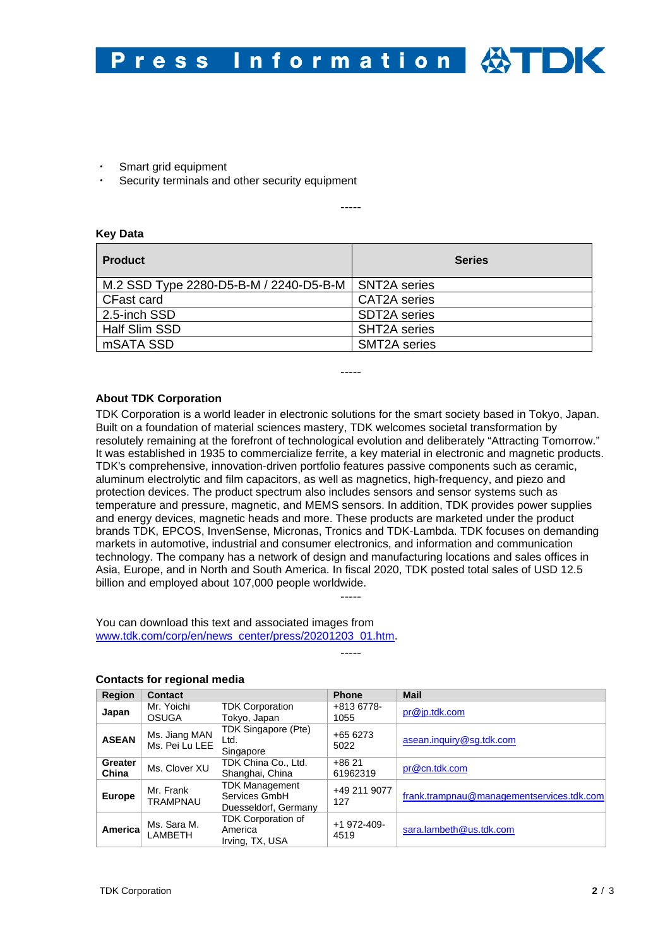

- Smart grid equipment
- Security terminals and other security equipment

-----

### **Key Data**

| <b>Product</b>                                        | <b>Series</b>       |
|-------------------------------------------------------|---------------------|
| M.2 SSD Type 2280-D5-B-M / 2240-D5-B-M   SNT2A series |                     |
| <b>CFast card</b>                                     | <b>CAT2A</b> series |
| 2.5-inch SSD                                          | SDT2A series        |
| Half Slim SSD                                         | <b>SHT2A</b> series |
| mSATA SSD                                             | <b>SMT2A</b> series |

-----

### **About TDK Corporation**

TDK Corporation is a world leader in electronic solutions for the smart society based in Tokyo, Japan. Built on a foundation of material sciences mastery, TDK welcomes societal transformation by resolutely remaining at the forefront of technological evolution and deliberately "Attracting Tomorrow." It was established in 1935 to commercialize ferrite, a key material in electronic and magnetic products. TDK's comprehensive, innovation-driven portfolio features passive components such as ceramic, aluminum electrolytic and film capacitors, as well as magnetics, high-frequency, and piezo and protection devices. The product spectrum also includes sensors and sensor systems such as temperature and pressure, magnetic, and MEMS sensors. In addition, TDK provides power supplies and energy devices, magnetic heads and more. These products are marketed under the product brands TDK, EPCOS, InvenSense, Micronas, Tronics and TDK-Lambda. TDK focuses on demanding markets in automotive, industrial and consumer electronics, and information and communication technology. The company has a network of design and manufacturing locations and sales offices in Asia, Europe, and in North and South America. In fiscal 2020, TDK posted total sales of USD 12.5 billion and employed about 107,000 people worldwide.

You can download this text and associated images from [www.tdk.com/corp/en/news\\_center/press/20201203\\_01.htm.](http://www.tdk.com/corp/en/news_center/press/20201203_01.htm)

-----

-----

| <b>Region</b>    | <b>Contact</b>                  |                                                                | <b>Phone</b>        | <b>Mail</b>                               |
|------------------|---------------------------------|----------------------------------------------------------------|---------------------|-------------------------------------------|
| Japan            | Mr. Yoichi<br><b>OSUGA</b>      | <b>TDK Corporation</b><br>Tokyo, Japan                         | +813 6778-<br>1055  | pr@jp.tdk.com                             |
| <b>ASEAN</b>     | Ms. Jiang MAN<br>Ms. Pei Lu LEE | TDK Singapore (Pte)<br>Ltd.<br>Singapore                       | +65 6273<br>5022    | asean.inquiry@sg.tdk.com                  |
| Greater<br>China | Ms. Clover XU                   | TDK China Co., Ltd.<br>Shanghai, China                         | $+8621$<br>61962319 | pr@cn.tdk.com                             |
| Europe           | Mr. Frank<br><b>TRAMPNAU</b>    | <b>TDK Management</b><br>Services GmbH<br>Duesseldorf, Germany | +49 211 9077<br>127 | frank.trampnau@managementservices.tdk.com |
| Americal         | Ms. Sara M.<br>LAMBETH          | <b>TDK Corporation of</b><br>America<br>Irving, TX, USA        | +1 972-409-<br>4519 | sara.lambeth@us.tdk.com                   |

#### **Contacts for regional media**